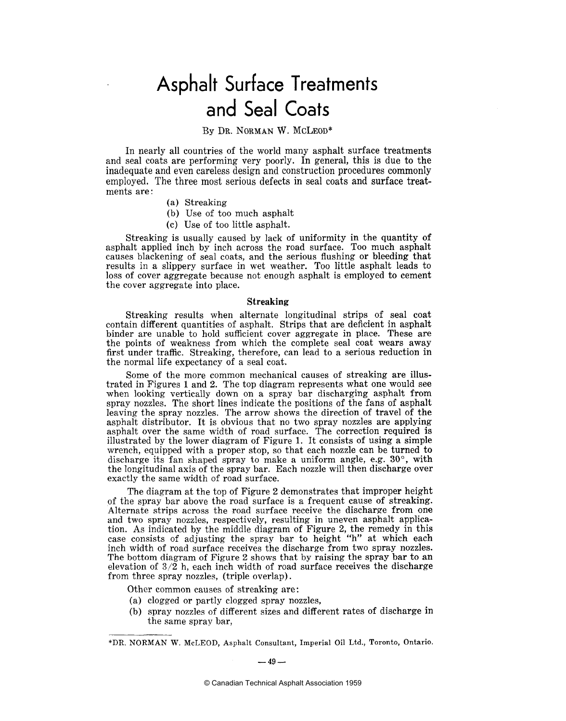### Asphalt Surface Treatments and Seal Coats

#### By DR. NORMAN W. MCLEOD\*

In nearly all countries of the world many asphalt surface treatments and seal coats are performing very poorly. In general, this is due to the inadequate and even careless design and construction procedures commonly employed. The three most serious defects in seal coats and surface treatments are:

- (a) Streaking
- (b) Use of too much asphalt
- (c) Use of too little asphalt.

Streaking is usually caused by lack of uniformity in the quantity of asphalt applied inch by inch across the road surface. Too much asphalt causes blackening of seal coats, and the serious flushing or bleeding that results in a slippery surface in wet weather. Too little asphalt leads to loss of cover aggregate because not enough asphalt is employed to cement the cover aggregate into place.

#### Streaking

Streaking results when alternate longitudinal strips of seal coat contain different quantities of asphalt. Strips that are deficient in asphalt binder are unable to hold sufficient cover aggregate in place. These are the points of weakness from which the complete seal coat wears away first under traffic. Streaking, therefore, can lead to a serious reduction in the normal life expectancy of a seal coat.

Some of the more common mechanical causes of streaking are illustrated in Figures 1 and 2. The top diagram represents what one would see when looking vertically down on a spray bar discharging asphalt from spray nozzles. The short lines indicate the positions of the fans of asphalt leaving the spray nozzles. The arrow shows the direction of travel of the asphalt distributor. It is obvious that no two spray nozzles are applying asphalt over the same width of road surface. The correction required is illustrated by the lower diagram of Figure 1. It consists of using a simple wrench, equipped with a proper stop, so that each nozzle can be turned to discharge its fan shaped spray to make a uniform angle, e.g. **30°,** with the longitudinal axis of the spray bar. Each nozzle will then discharge over exactly the same width of road surface.

The diagram at the top of Figure 2 demonstrates that improper height of the spray bar above the road surface is a frequent cause of streaking. Alternate strips across the road surface receive the discharge from one and two spray nozzles, respectively, resulting in uneven asphalt application. As indicated by the middle diagram of Figure 2, the remedy in this case consists of adjusting the spray bar to height "h" at which each inch width of road surface receives the discharge from two spray nozzles. The bottom diagram of Figure 2 shows that by raising the spray bar to an elevation of **3/2** h, each inch width of road surface receives the discharge from three spray nozzles, (triple overlap).

Other common causes of streaking are:

- (a) clogged or partly clogged spray nozzles,
- (b) spray nozzles of different sizes and different rates of discharge in the same spray bar,

<sup>\*</sup>DR. NORMAN W. McLEOD, Asphalt Consultant, Imperial Oil Ltd., Toronto, Ontario.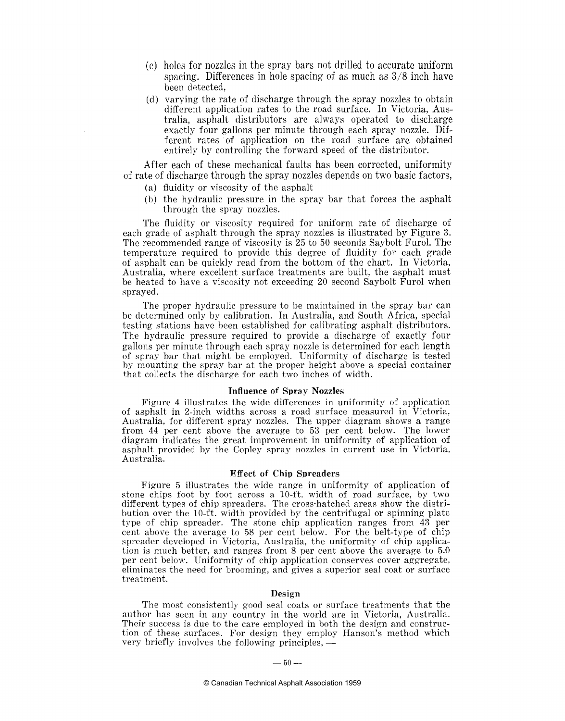- (c) holes for nozzles in the spray bars not drilled to accurate uniform spacing. Differences in hole spacing of as much as *318* inch have been detected.
- (d) varying the rate of discharge through the spray nozzles to obtain different application rates to the road surface. In Victoria, Australia, asphalt distributors are always operated to discharge exactly four gallons per minute through each spray nozzle. Different rates of application on the road surface are obtained entirely by controlling the forward speed of the distributor.

After each of these mechanical faults has been corrected, uniformity of rate of discharge through the spray nozzles depends on two basic factors,

- (a) fluidity or viscosity of the asphalt
- (b) the hydraulic pressure in the spray bar that forces the asphalt through the spray nozzles.

The fluidity or viscosity required for uniform rate of discharge of each grade of asphalt through the spray nozzles is illustrated by Figure **3.**  The recommended range of viscosity is 25 to 50 seconds Saybolt Furol. The temperature required to provide this degree of fluidity for each grade of asphalt can be quickly read from the bottom of the chart. In Victoria, Australia, where excellent surface treatments are built, the asphalt must be heated to have a viscosity not exceeding 20 second Saybolt Furol when sprayed.

The proper hydraulic pressure to be maintained in the spray bar can be determined only by calibration. In Australia, and South Africa, special testing stations have been established for calibrating asphalt distributors. The hydraulic pressure required to provide a discharge of exactly four gallons per minute through each spray nozzle is determined for each length of spray bar that might be employed. Uniformity of discharge is tested by mounting the spray bar at the proper height above a special container that collects the discharge for each two inches of width.

#### **Influence of Spray Nozzles**

Figure 4 illustrates the wide differences in uniformity of application of asphalt in 2-inch widths across a road surface measured in Victoria, Australia, for different spray nozzles. The upper diagram shows a range from 44 per cent above the average to 53 per cent below. The lower diagram indicates the great improvement in uniformity of application of asphalt provided by the Copley spray nozzles in current use in Victoria, Australia.

#### **Effect of Chip Spreaders**

Figure *5* illustrates the wide range in uniformity of application of stone chips foot by foot across a 10-ft. width of road surface, by two different types of chip spreaders. The cross-hatched areas show the distribution over the 10-ft. width provided by the centrifugal or spinning plate type of chip spreader. The stone chip application ranges from 43 per cent above the average to 58 per cent below. For the belt-type of chip spreader developed in Victoria, Australia, the uniformity of chip application is much better, and ranges from 8 per cent above the average to 5.0 per cent below. Uniformity of chip application conserves cover aggregate, eliminates the need for brooming, and gives a superior seal coat or surface treatment.

#### **Design**

The most consistently good seal coats or surface treatments that the author has seen in any country in the world are in Victoria, Australia. Their success is due to the care employed in both the design and construction of these surfaces. For design they employ Hanson's method which very briefly involves the following principles, tion of these surfaces. For design they employ Hanson's method which very briefly involves the following principles, —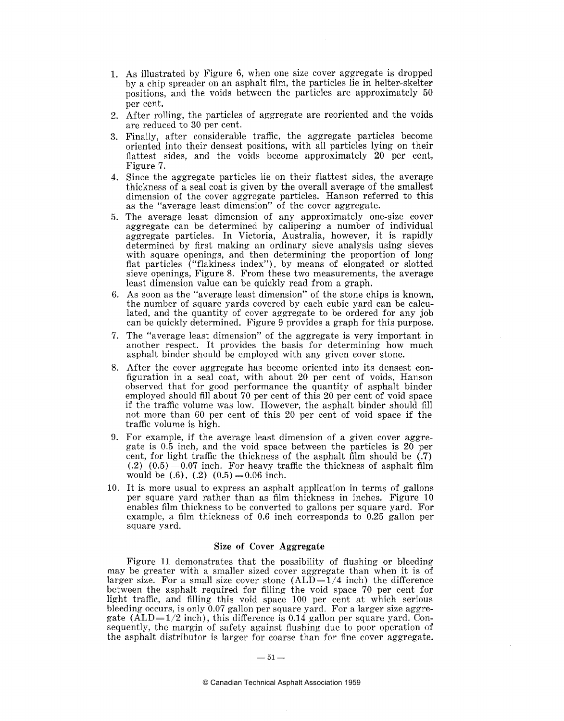- 1. As illustrated by Figure 6, when one size cover aggregate is dropped by a chip spreader on an asphalt film, the particles lie in helter-skelter positions, and the voids between the particles are approximately 50 per cent.
- 2. After rolling, the particles of aggregate are reoriented and the voids are reduced to 30 per cent.
- **3.** Finally, after considerable traffic, the aggregate particles become oriented into their densest positions, with all particles lying on their flattest sides, and the voids become approximately 20 per cent, Figure 7.
- 4. Since the aggregate particles lie on their flattest sides, the average thickness of a seal coat is given by the overall average of the smallest dimension of the cover aggregate particles. Hanson referred to this as the "average least dimension" of the cover aggregate.
- 5. The average least dimension of any approximately one-size cover aggregate can be determined by calipering a number of individual aggregate particles. In Victoria, Australia, however, it is rapidly determined by first making an ordinary sieve analysis using sieves with square openings, and then determining the proportion of long flat particles ("flakiness index"), by means of elongated or slotted sieve openings, Figure 8. From these two measurements, the average least dimension value can be quickly read from a graph.
- 6. As soon as the "average least dimension" of the stone chips is known, the number of square yards covered by each cubic yard can be calculated, and the quantity of cover aggregate to be ordered for any job can be quickly determined. Figure 9 provides a graph for this purpose.
- 7. The "average least dimension" of the aggregate is very important in another respect. It provides the basis for determining how much asphalt binder should be employed with any given cover stone.
- 8. After the cover aggregate has become oriented into its densest configuration in a seal coat, with about 20 per cent of voids, Hanson observed that for good performance the quantity of asphalt binder employed should fill about 70 per cent of this 20 per cent of void space if the traffic volume was low. However, the asphalt binder should fill not more than 60 per cent of this 20 per cent of void space if the traffic volume is high.
- 9. For example, if the average least dimension of a given cover aggregate is 0.5 inch, and the void space between the particles is 20 per cent, for light traffic the thickness of the asphalt film should be  $(0.7)$  $(0.2)$   $(0.5) = 0.07$  inch. For heavy traffic the thickness of asphalt film would be  $(.6)$ ,  $(.2)$   $(0.5) = 0.06$  inch.
- 10. It is more usual to express an asphalt application in terms of gallons per square yard rather than as film thickness in inches. Figure 10 enables film thickness to be converted to gallons per square yard. For example, a film thickness of 0.6 inch corresponds to 0.25 gallon per square yard.

#### **Size of Cover Aggregate**

Figure 11 demonstrates that the possibility of flushing or bleeding may be greater with a smaller sized cover aggregate than when it is of larger size. For a small size cover stone  $(ALD=1/4$  inch) the difference between the asphalt required for filling the void space 70 per cent for light traffic, and filling this void space 100 per cent at which serious bleeding occurs, is only 0.07 gallon per square yard. For a larger size aggregate (ALD= $1/2$  inch), this difference is 0.14 gallon per square yard. Consequently, the margin of safety against flushing due to poor operation of the asphalt distributor is larger for coarse than for fine cover aggregate.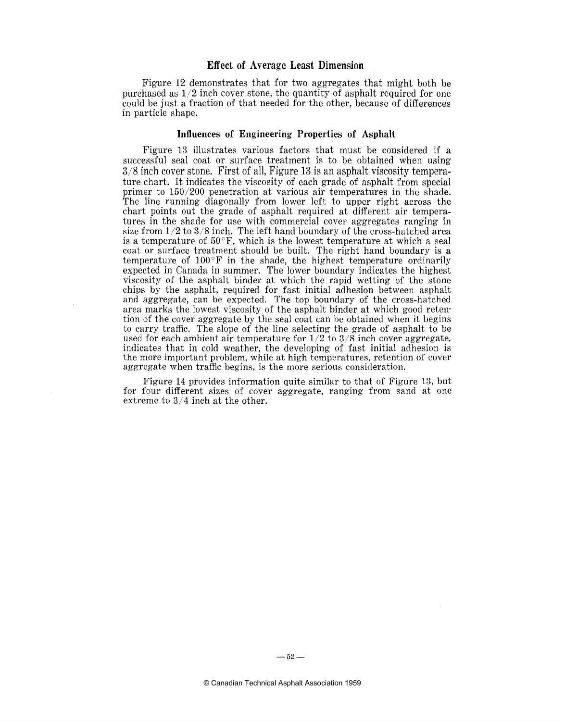#### **Effect of Average Least Dimension**

Figure 12 demonstrates that for two aggregates that might both be purchased as  $1/2$  inch cover stone, the quantity of asphalt required for one could be just a fraction of that needed for the other, because of differences in particle shape.

#### **Influences of Engineering Properties of Asphalt**

Figure 13 illustrates various factors that must be considered if a successful seal coat or surface treatment is to be obtained when using *318* inch cover stone. First of all, Figure 13 is an asphalt viscosity temperature chart. It indicates the viscosity of each grade of asphalt from special primer to 150/200 penetration at various air temperatures in the shade. The line running diagonally from lower left to upper right across the chart points out the grade of asphalt required at different air temperatures in the shade for use with commercial cover aggregates ranging in size from  $1/2$  to  $3/8$  inch. The left hand boundary of the cross-hatched area is a temperature of 50°F, which is the lowest temperature at which a seal coat or surface treatment should be built. The right hand boundary is a temperature of  $100^{\circ}$  F in the shade, the highest temperature ordinarily expected in Canada in summer. The lower boundary indicates the highest viscosity of the asphalt binder at which the rapid wetting of the stone chips by the asphalt, required for fast initial adhesion between asphalt and aggregate, can be expected. The top boundary of the cross-hatched area marks the lowest viscosity of the asphalt binder at which good retention of the cover aggregate by the seal coat can be obtained when it begins to carry traffic. The slope of the line selecting the grade of asphalt to be used for each ambient air temperature for  $1/2$  to  $3/8$  inch cover aggregate, indicates that in cold weather, the developing of fast initial adhesion is the more important problem, while at high temperatures, retention of cover aggregate when traffic begins, is the more serious consideration.

Figure 14 provides information quite similar to that of Figure **13,** but for four different sizes of cover aggregate, ranging from sand at one extreme to 3/4 inch at the other.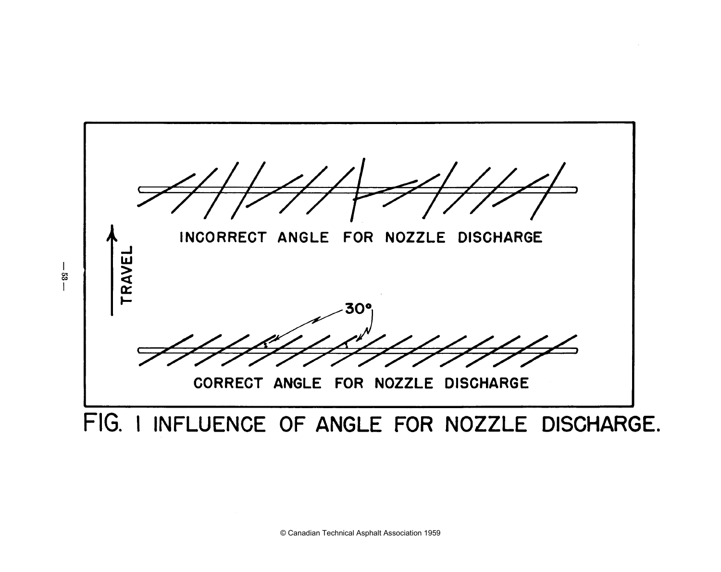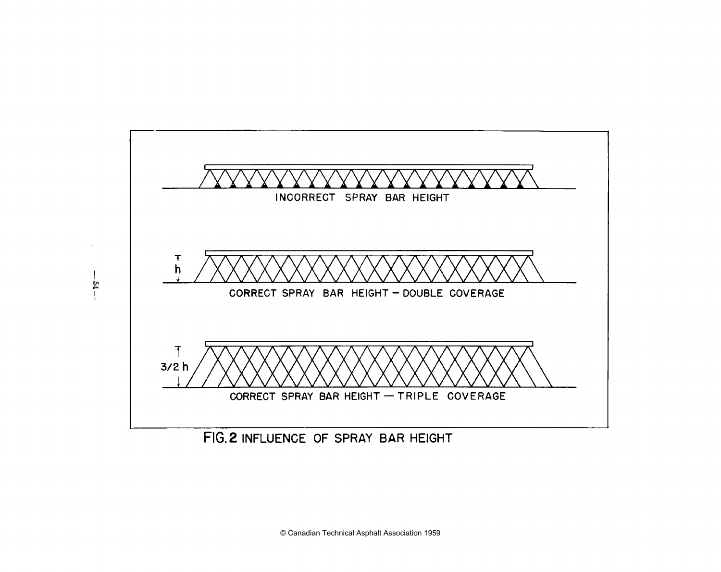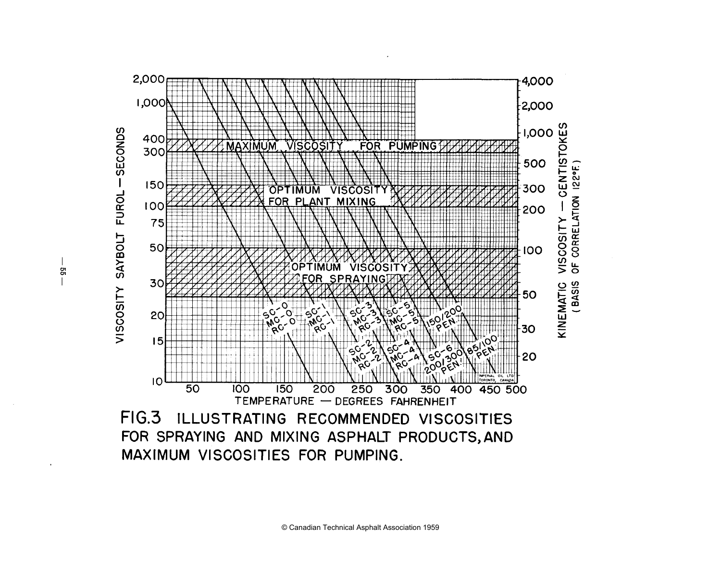

ςã

© Canadian Technical Asphalt Association 1959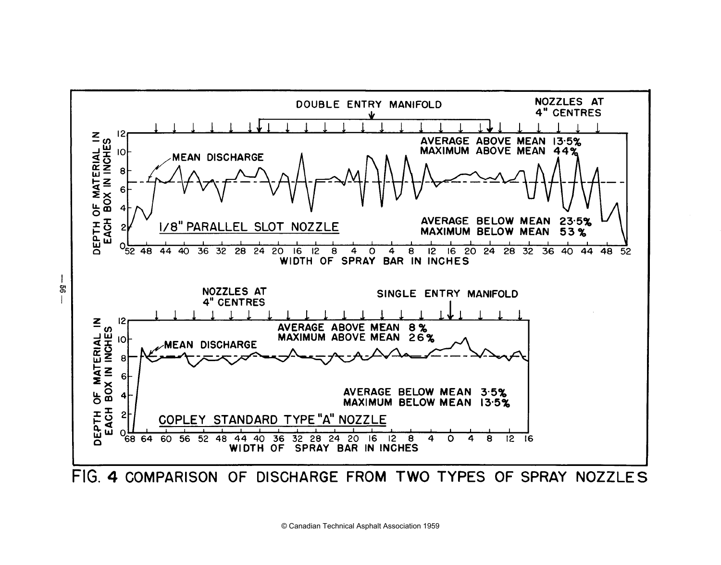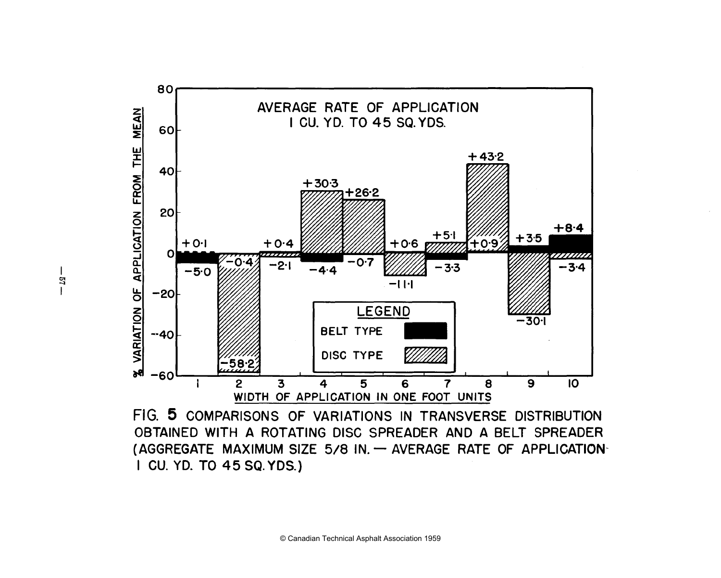

FIG. **5 COMPARISONS OF VARIATIONS IN TRANSVERSE DISTRIBUTION OBTAINED WITH A ROTATING DISC SPREADER AND A BELT SPREADER**  (AGGREGATE MAXIMUM SIZE 5/8 IN. - AVERAGE RATE OF APPLICATION-**I CU. YD. TO 45 SQ.YDS.)**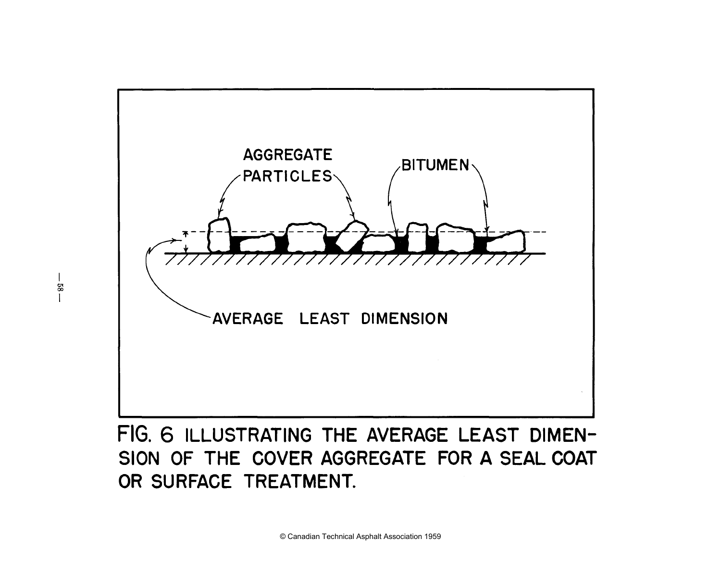

# **SION OF THE COVER AGGREGATE FOR A SEAL COAT OR SURFACE TREATMENT.**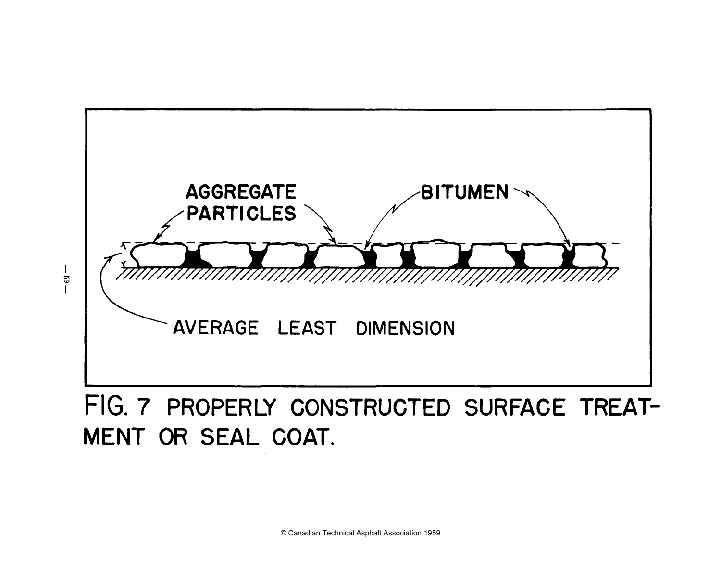

 $-59$ 

## FIG. **7** PROPERLY CONSTRUCTED SURFACE TREAT-MENT OR SEAL COAT.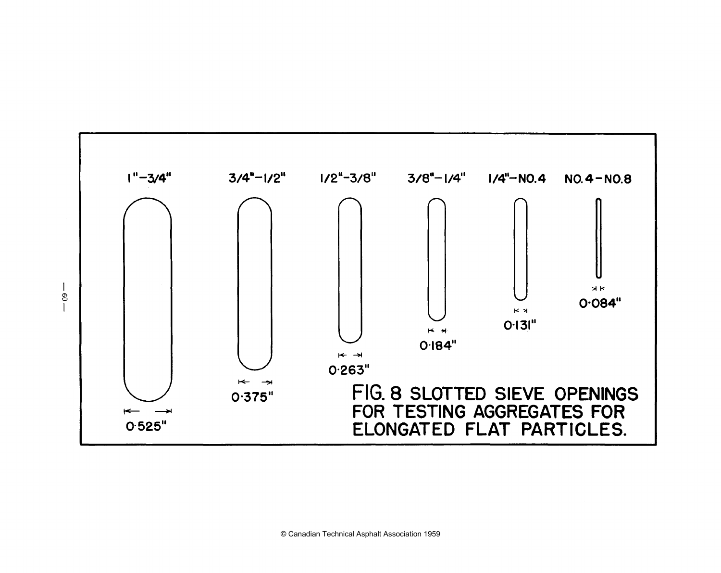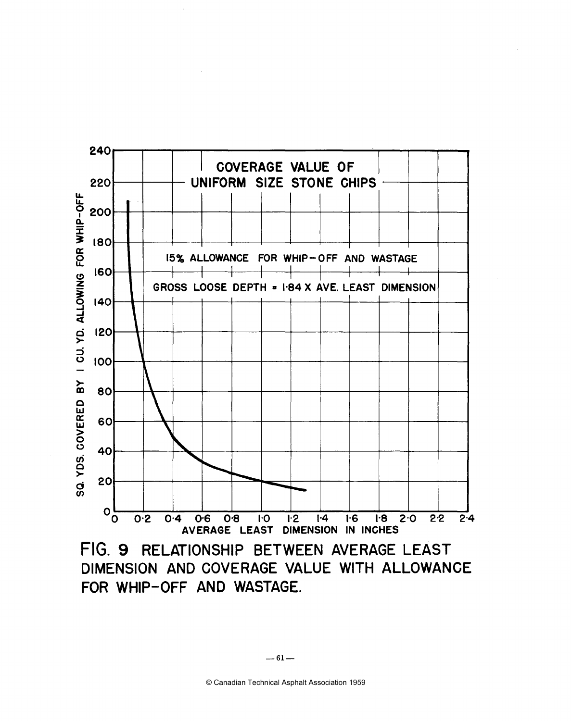

FIG. **9** RELATIONSHIP BETWEEN AVERAGE LEAST DIMENSION AND COVERAGE VALUE WITH ALLOWANCE FOR WHIP-OFF AND WASTAGE.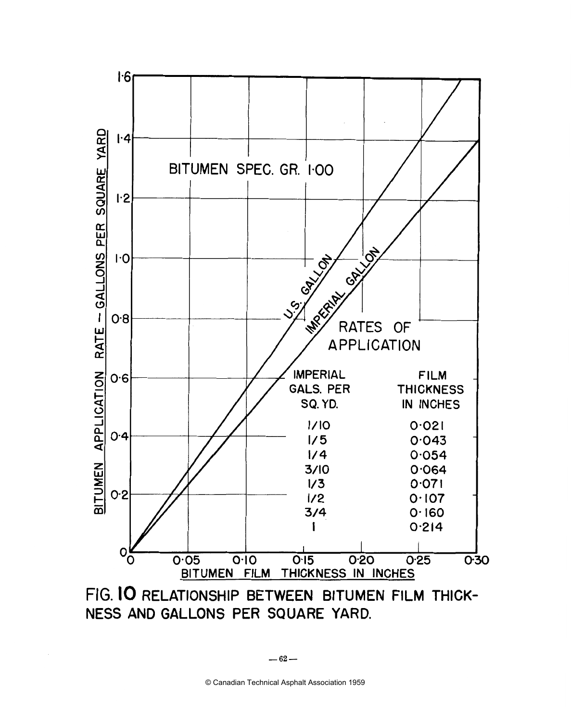

**FIG. IO RELATIONSHIP BETWEEN BITUMEN FILM THICK-NESS AND GALLONS PER SQUARE YARD.**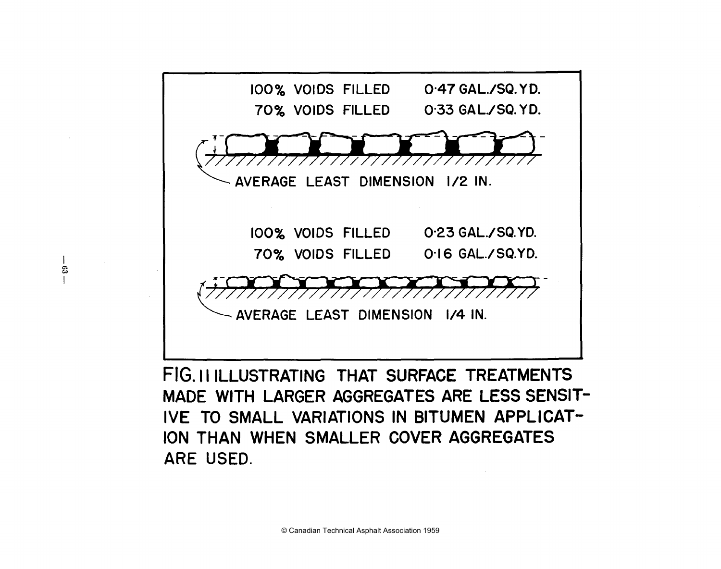

 $\overline{1}$ ė3  $\mathbf{I}$ 

> FIG. II ILLUSTRATING THAT SURFACE TREATMENTS **MADE WITH LARGER AGGREGATES ARE LESS SENSIT-IVE TO SMALL VARIATIONS IN BITUMEN APPLICAT-ION THAN WHEN SMALLER COVER AGGREGATES ARE USED.**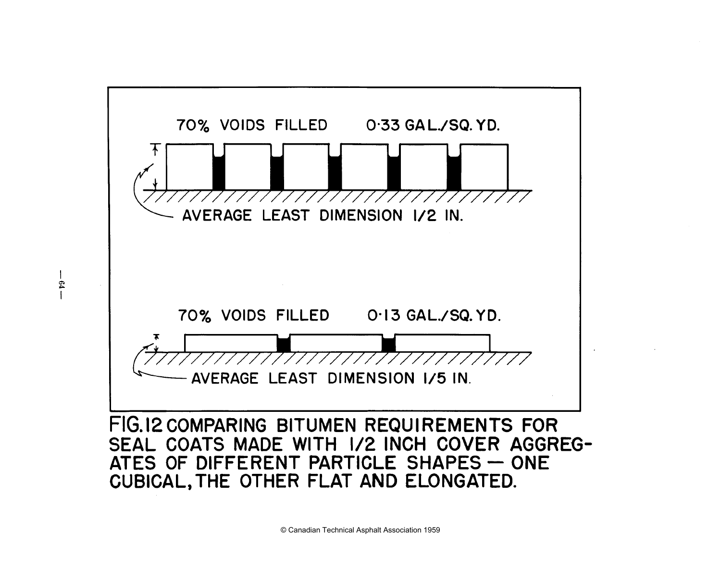

 $-19 -$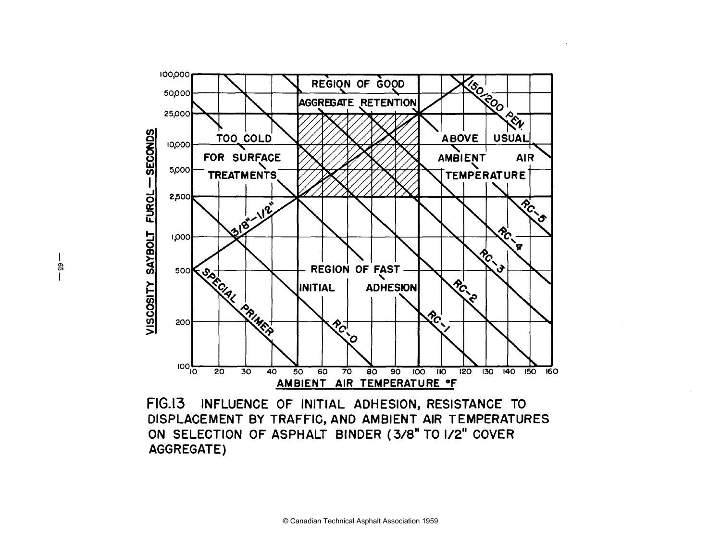

**FIG.13 INFLUENCE OF INITIAL ADHESION, RESISTANCE TO DISPLACEMENT BY TRAFFIC, AND AMBIENT AIR TEMPERATURES ON SELECTION OF ASPHALT BINDER (3/8" TO 1/2" COVER AGGREGATE)**